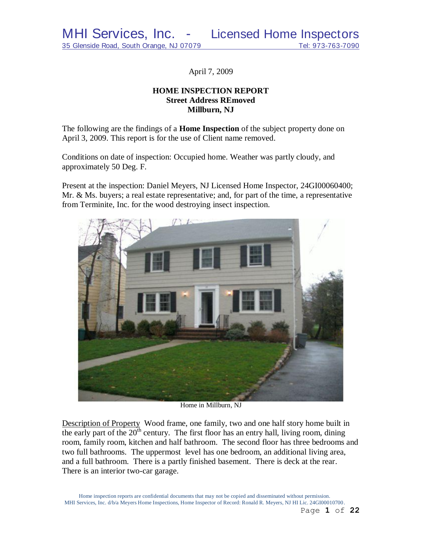April 7, 2009

# **HOME INSPECTION REPORT Street Address REmoved Millburn, NJ**

The following are the findings of a **Home Inspection** of the subject property done on April 3, 2009. This report is for the use of Client name removed.

Conditions on date of inspection: Occupied home. Weather was partly cloudy, and approximately 50 Deg. F.

Present at the inspection: Daniel Meyers, NJ Licensed Home Inspector, 24GI00060400; Mr. & Ms. buyers; a real estate representative; and, for part of the time, a representative from Terminite, Inc. for the wood destroying insect inspection.



Home in Millburn, NJ

Description of Property Wood frame, one family, two and one half story home built in the early part of the  $20<sup>th</sup>$  century. The first floor has an entry hall, living room, dining room, family room, kitchen and half bathroom. The second floor has three bedrooms and two full bathrooms. The uppermost level has one bedroom, an additional living area, and a full bathroom. There is a partly finished basement. There is deck at the rear. There is an interior two-car garage.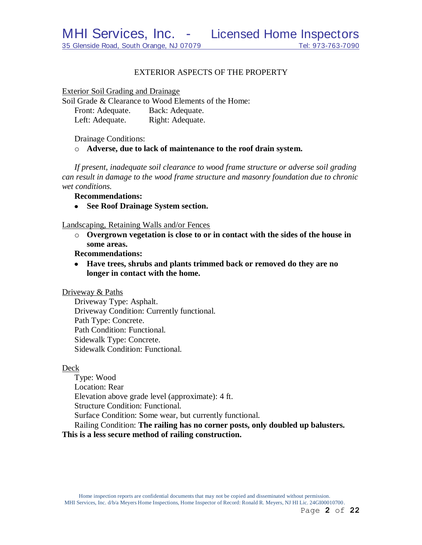# EXTERIOR ASPECTS OF THE PROPERTY

Exterior Soil Grading and Drainage

Soil Grade & Clearance to Wood Elements of the Home: Front: Adequate. Back: Adequate. Left: Adequate. Right: Adequate.

Drainage Conditions:

o **Adverse, due to lack of maintenance to the roof drain system.** 

*If present, inadequate soil clearance to wood frame structure or adverse soil grading can result in damage to the wood frame structure and masonry foundation due to chronic wet conditions.*

**Recommendations:**

**See Roof Drainage System section.**  $\bullet$ 

Landscaping, Retaining Walls and/or Fences

o **Overgrown vegetation is close to or in contact with the sides of the house in some areas.**

**Recommendations:**

**Have trees, shrubs and plants trimmed back or removed do they are no longer in contact with the home.**

Driveway & Paths

Driveway Type: Asphalt. Driveway Condition: Currently functional. Path Type: Concrete. Path Condition: Functional. Sidewalk Type: Concrete. Sidewalk Condition: Functional.

#### Deck

Type: Wood Location: Rear Elevation above grade level (approximate): 4 ft. Structure Condition: Functional. Surface Condition: Some wear, but currently functional. Railing Condition: **The railing has no corner posts, only doubled up balusters. This is a less secure method of railing construction.**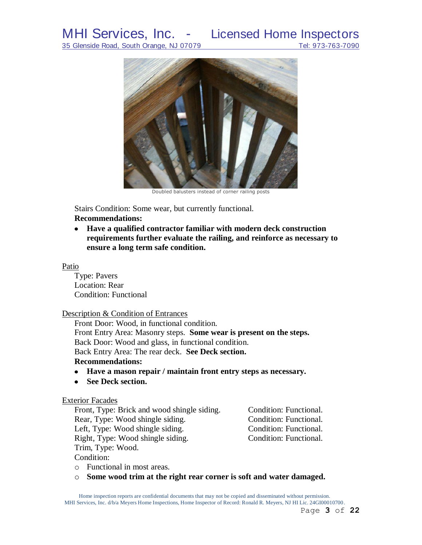

Doubled balusters instead of corner railing posts

Stairs Condition: Some wear, but currently functional.

# **Recommendations:**

**Have a qualified contractor familiar with modern deck construction requirements further evaluate the railing, and reinforce as necessary to ensure a long term safe condition.**

## Patio

Type: Pavers Location: Rear Condition: Functional

# Description & Condition of Entrances

Front Door: Wood, in functional condition. Front Entry Area: Masonry steps. **Some wear is present on the steps.** Back Door: Wood and glass, in functional condition. Back Entry Area: The rear deck. **See Deck section. Recommendations:**

- **Have a mason repair / maintain front entry steps as necessary.**
- $\bullet$ **See Deck section.**

# Exterior Facades

| Front, Type: Brick and wood shingle siding. | Condition: Functional. |
|---------------------------------------------|------------------------|
| Rear, Type: Wood shingle siding.            | Condition: Functional. |
| Left, Type: Wood shingle siding.            | Condition: Functional. |
| Right, Type: Wood shingle siding.           | Condition: Functional. |
| Trim, Type: Wood.                           |                        |
| $\sim$ 11.1.1                               |                        |

Condition:

- o Functional in most areas.
- o **Some wood trim at the right rear corner is soft and water damaged.**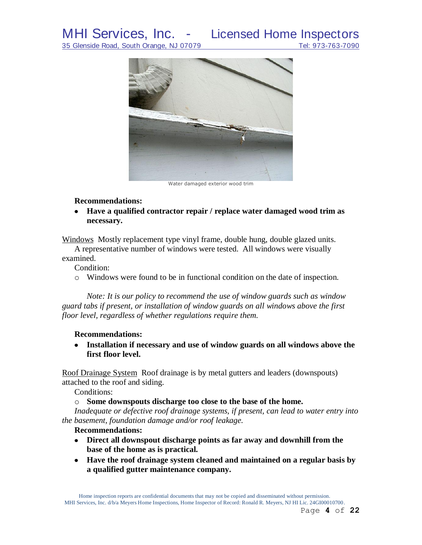35 Glenside Road, South Orange, NJ 07079 Tel: 973-763-7090



Water damaged exterior wood trim

# **Recommendations:**

**Have a qualified contractor repair / replace water damaged wood trim as necessary.**

Windows Mostly replacement type vinyl frame, double hung, double glazed units.

A representative number of windows were tested. All windows were visually examined.

Condition:

o Windows were found to be in functional condition on the date of inspection.

*Note: It is our policy to recommend the use of window guards such as window guard tabs if present, or installation of window guards on all windows above the first floor level, regardless of whether regulations require them.*

# **Recommendations:**

**Installation if necessary and use of window guards on all windows above the first floor level.**

Roof Drainage System Roof drainage is by metal gutters and leaders (downspouts) attached to the roof and siding.

Conditions:

o **Some downspouts discharge too close to the base of the home.**

*Inadequate or defective roof drainage systems, if present, can lead to water entry into the basement, foundation damage and/or roof leakage.*

# **Recommendations:**

- **Direct all downspout discharge points as far away and downhill from the base of the home as is practical.**
- **Have the roof drainage system cleaned and maintained on a regular basis by a qualified gutter maintenance company.**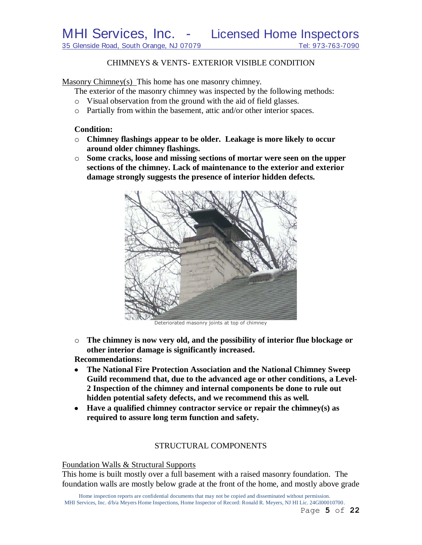MHI Services, Inc. - Licensed Home Inspectors

35 Glenside Road, South Orange, NJ 07079 Tel: 973-763-7090

## CHIMNEYS & VENTS- EXTERIOR VISIBLE CONDITION

Masonry Chimney(s) This home has one masonry chimney.

The exterior of the masonry chimney was inspected by the following methods:

- o Visual observation from the ground with the aid of field glasses.
- o Partially from within the basement, attic and/or other interior spaces.

### **Condition:**

- o **Chimney flashings appear to be older. Leakage is more likely to occur around older chimney flashings.**
- o **Some cracks, loose and missing sections of mortar were seen on the upper sections of the chimney. Lack of maintenance to the exterior and exterior damage strongly suggests the presence of interior hidden defects.**



Deteriorated masonry joints at top of chimney

- o **The chimney is now very old, and the possibility of interior flue blockage or other interior damage is significantly increased. Recommendations:**
- **The National Fire Protection Association and the National Chimney Sweep Guild recommend that, due to the advanced age or other conditions, a Level-2 Inspection of the chimney and internal components be done to rule out hidden potential safety defects, and we recommend this as well***.*
- **Have a qualified chimney contractor service or repair the chimney(s) as required to assure long term function and safety.**

# STRUCTURAL COMPONENTS

#### Foundation Walls & Structural Supports

This home is built mostly over a full basement with a raised masonry foundation. The foundation walls are mostly below grade at the front of the home, and mostly above grade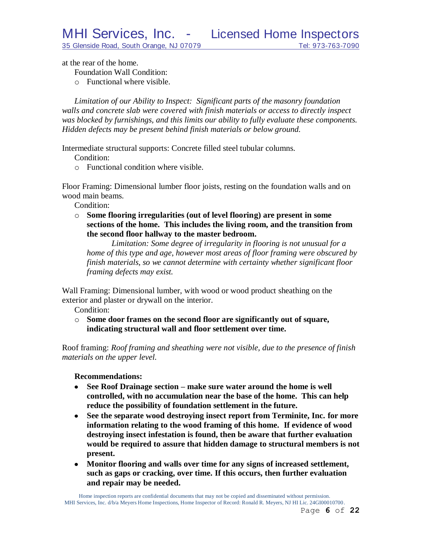at the rear of the home.

Foundation Wall Condition:

o Functional where visible.

*Limitation of our Ability to Inspect: Significant parts of the masonry foundation walls and concrete slab were covered with finish materials or access to directly inspect was blocked by furnishings, and this limits our ability to fully evaluate these components. Hidden defects may be present behind finish materials or below ground.*

Intermediate structural supports: Concrete filled steel tubular columns.

- Condition:
- o Functional condition where visible.

Floor Framing: Dimensional lumber floor joists, resting on the foundation walls and on wood main beams.

Condition:

o **Some flooring irregularities (out of level flooring) are present in some sections of the home. This includes the living room, and the transition from the second floor hallway to the master bedroom.**

*Limitation: Some degree of irregularity in flooring is not unusual for a home of this type and age*, *however most areas of floor framing were obscured by finish materials, so we cannot determine with certainty whether significant floor framing defects may exist.*

Wall Framing: Dimensional lumber, with wood or wood product sheathing on the exterior and plaster or drywall on the interior.

Condition:

o **Some door frames on the second floor are significantly out of square, indicating structural wall and floor settlement over time.**

Roof framing: *Roof framing and sheathing were not visible, due to the presence of finish materials on the upper level.*

### **Recommendations:**

- **See Roof Drainage section – make sure water around the home is well controlled, with no accumulation near the base of the home. This can help reduce the possibility of foundation settlement in the future.**
- $\bullet$ **See the separate wood destroying insect report from Terminite, Inc. for more information relating to the wood framing of this home. If evidence of wood destroying insect infestation is found, then be aware that further evaluation would be required to assure that hidden damage to structural members is not present.**
- **Monitor flooring and walls over time for any signs of increased settlement, such as gaps or cracking, over time. If this occurs, then further evaluation and repair may be needed.**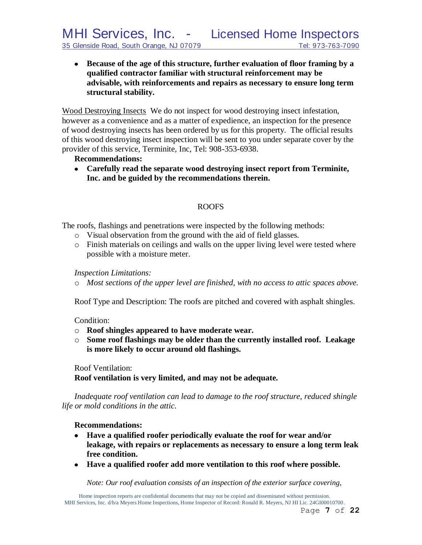**Because of the age of this structure, further evaluation of floor framing by a qualified contractor familiar with structural reinforcement may be advisable, with reinforcements and repairs as necessary to ensure long term structural stability.** 

Wood Destroying Insects We do not inspect for wood destroying insect infestation, however as a convenience and as a matter of expedience, an inspection for the presence of wood destroying insects has been ordered by us for this property. The official results of this wood destroying insect inspection will be sent to you under separate cover by the provider of this service, Terminite, Inc, Tel: 908-353-6938.

# **Recommendations:**

**Carefully read the separate wood destroying insect report from Terminite, Inc. and be guided by the recommendations therein.**

# ROOFS

The roofs, flashings and penetrations were inspected by the following methods:

- o Visual observation from the ground with the aid of field glasses.
- o Finish materials on ceilings and walls on the upper living level were tested where possible with a moisture meter.

*Inspection Limitations:*

o *Most sections of the upper level are finished, with no access to attic spaces above.*

Roof Type and Description: The roofs are pitched and covered with asphalt shingles.

Condition:

- o **Roof shingles appeared to have moderate wear.**
- o **Some roof flashings may be older than the currently installed roof. Leakage is more likely to occur around old flashings.**

Roof Ventilation:

**Roof ventilation is very limited, and may not be adequate.**

*Inadequate roof ventilation can lead to damage to the roof structure, reduced shingle life or mold conditions in the attic.*

# **Recommendations:**

- **Have a qualified roofer periodically evaluate the roof for wear and/or leakage, with repairs or replacements as necessary to ensure a long term leak free condition.**
- **Have a qualified roofer add more ventilation to this roof where possible.**

*Note: Our roof evaluation consists of an inspection of the exterior surface covering,*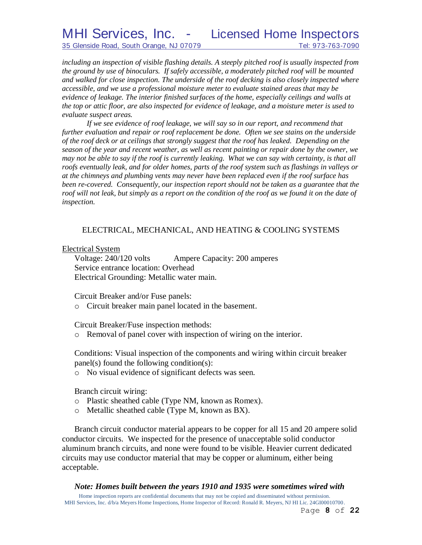35 Glenside Road, South Orange, NJ 07079 Tel: 973-763-7090

*including an inspection of visible flashing details. A steeply pitched roof is usually inspected from the ground by use of binoculars. If safely accessible, a moderately pitched roof will be mounted and walked for close inspection. The underside of the roof decking is also closely inspected where accessible, and we use a professional moisture meter to evaluate stained areas that may be evidence of leakage. The interior finished surfaces of the home, especially ceilings and walls at the top or attic floor, are also inspected for evidence of leakage, and a moisture meter is used to evaluate suspect areas.*

If we see evidence of roof leakage, we will say so in our report, and recommend that *further evaluation and repair or roof replacement be done. Often we see stains on the underside of the roof deck or at ceilings that strongly suggest that the roof has leaked. Depending on the season of the year and recent weather, as well as recent painting or repair done by the owner, we may not be able to say if the roof is currently leaking. What we can say with certainty, is that all roofs eventually leak, and for older homes, parts of the roof system such as flashings in valleys or at the chimneys and plumbing vents may never have been replaced even if the roof surface has been re-covered. Consequently, our inspection report should not be taken as a guarantee that the*  roof will not leak, but simply as a report on the condition of the roof as we found it on the date of *inspection.*

# ELECTRICAL, MECHANICAL, AND HEATING & COOLING SYSTEMS

# Electrical System

Voltage: 240/120 volts Ampere Capacity: 200 amperes Service entrance location: Overhead Electrical Grounding: Metallic water main.

Circuit Breaker and/or Fuse panels:

o Circuit breaker main panel located in the basement.

Circuit Breaker/Fuse inspection methods:

o Removal of panel cover with inspection of wiring on the interior.

Conditions: Visual inspection of the components and wiring within circuit breaker panel(s) found the following condition(s):

o No visual evidence of significant defects was seen.

Branch circuit wiring:

- o Plastic sheathed cable (Type NM, known as Romex).
- o Metallic sheathed cable (Type M, known as BX).

Branch circuit conductor material appears to be copper for all 15 and 20 ampere solid conductor circuits. We inspected for the presence of unacceptable solid conductor aluminum branch circuits, and none were found to be visible. Heavier current dedicated circuits may use conductor material that may be copper or aluminum, either being acceptable.

# *Note: Homes built between the years 1910 and 1935 were sometimes wired with*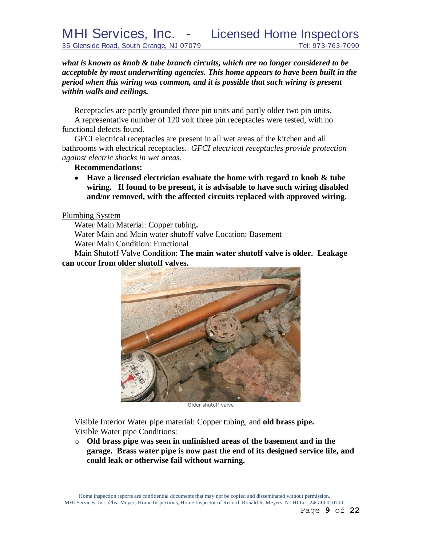*what is known as knob & tube branch circuits, which are no longer considered to be acceptable by most underwriting agencies. This home appears to have been built in the period when this wiring was common, and it is possible that such wiring is present within walls and ceilings.*

Receptacles are partly grounded three pin units and partly older two pin units.

A representative number of 120 volt three pin receptacles were tested, with no functional defects found.

GFCI electrical receptacles are present in all wet areas of the kitchen and all bathrooms with electrical receptacles. *GFCI electrical receptacles provide protection against electric shocks in wet areas.*

# **Recommendations:**

**Have a licensed electrician evaluate the home with regard to knob & tube wiring. If found to be present, it is advisable to have such wiring disabled and/or removed, with the affected circuits replaced with approved wiring.**

# Plumbing System

Water Main Material: Copper tubing**.**

Water Main and Main water shutoff valve Location: Basement

Water Main Condition: Functional

Main Shutoff Valve Condition: **The main water shutoff valve is older. Leakage can occur from older shutoff valves.**



Older shutoff valve

Visible Interior Water pipe material: Copper tubing, and **old brass pipe.** Visible Water pipe Conditions:

o **Old brass pipe was seen in unfinished areas of the basement and in the garage. Brass water pipe is now past the end of its designed service life, and could leak or otherwise fail without warning.**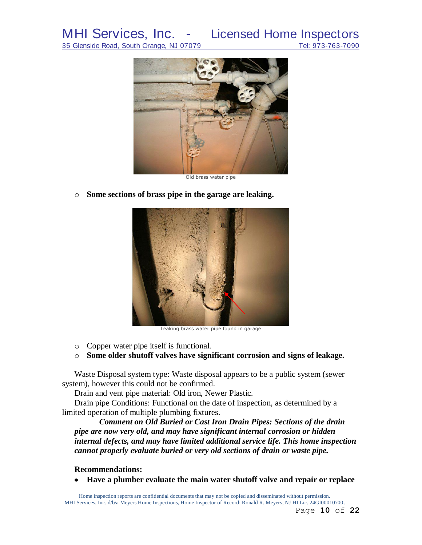MHI Services, Inc. - Licensed Home Inspectors<br>35 Glenside Road, South Orange, NJ 07079 Tel: 973-763-7090 35 Glenside Road, South Orange, NJ 07079



Old brass water pipe

o **Some sections of brass pipe in the garage are leaking.**



Leaking brass water pipe found in garage

- o Copper water pipe itself is functional.
- o **Some older shutoff valves have significant corrosion and signs of leakage.**

Waste Disposal system type: Waste disposal appears to be a public system (sewer system), however this could not be confirmed.

Drain and vent pipe material: Old iron, Newer Plastic.

Drain pipe Conditions: Functional on the date of inspection, as determined by a limited operation of multiple plumbing fixtures.

*Comment on Old Buried or Cast Iron Drain Pipes: Sections of the drain pipe are now very old, and may have significant internal corrosion or hidden internal defects, and may have limited additional service life. This home inspection cannot properly evaluate buried or very old sections of drain or waste pipe.*

### **Recommendations:**

**Have a plumber evaluate the main water shutoff valve and repair or replace**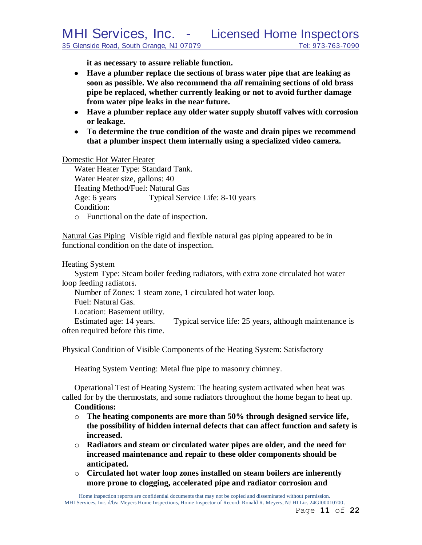**it as necessary to assure reliable function.**

- **Have a plumber replace the sections of brass water pipe that are leaking as soon as possible. We also recommend tha** *all* **remaining sections of old brass pipe be replaced, whether currently leaking or not to avoid further damage from water pipe leaks in the near future.**
- **Have a plumber replace any older water supply shutoff valves with corrosion or leakage.**
- **To determine the true condition of the waste and drain pipes we recommend that a plumber inspect them internally using a specialized video camera.**

Domestic Hot Water Heater

Water Heater Type: Standard Tank. Water Heater size, gallons: 40 Heating Method/Fuel: Natural Gas Age: 6 years Typical Service Life: 8-10 years Condition:

o Functional on the date of inspection.

Natural Gas Piping Visible rigid and flexible natural gas piping appeared to be in functional condition on the date of inspection.

## Heating System

System Type: Steam boiler feeding radiators, with extra zone circulated hot water loop feeding radiators.

Number of Zones: 1 steam zone, 1 circulated hot water loop.

Fuel: Natural Gas.

Location: Basement utility.

Estimated age: 14 years. Typical service life: 25 years, although maintenance is often required before this time.

Physical Condition of Visible Components of the Heating System: Satisfactory

Heating System Venting: Metal flue pipe to masonry chimney.

Operational Test of Heating System: The heating system activated when heat was called for by the thermostats, and some radiators throughout the home began to heat up. **Conditions:**

- o **The heating components are more than 50% through designed service life, the possibility of hidden internal defects that can affect function and safety is increased.**
- o **Radiators and steam or circulated water pipes are older, and the need for increased maintenance and repair to these older components should be anticipated.**
- o **Circulated hot water loop zones installed on steam boilers are inherently more prone to clogging, accelerated pipe and radiator corrosion and**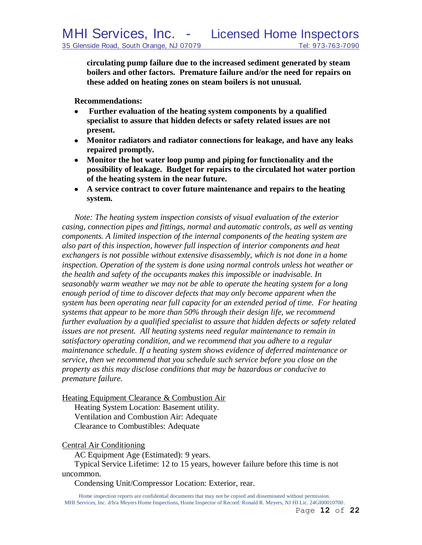**circulating pump failure due to the increased sediment generated by steam boilers and other factors. Premature failure and/or the need for repairs on these added on heating zones on steam boilers is not unusual.**

**Recommendations:**

- **Further evaluation of the heating system components by a qualified**   $\bullet$ **specialist to assure that hidden defects or safety related issues are not present.**
- **Monitor radiators and radiator connections for leakage, and have any leaks repaired promptly.**
- **Monitor the hot water loop pump and piping for functionality and the possibility of leakage. Budget for repairs to the circulated hot water portion of the heating system in the near future.**
- **A service contract to cover future maintenance and repairs to the heating system.**

*Note: The heating system inspection consists of visual evaluation of the exterior casing, connection pipes and fittings, normal and automatic controls, as well as venting components. A limited inspection of the internal components of the heating system are also part of this inspection, however full inspection of interior components and heat exchangers is not possible without extensive disassembly, which is not done in a home inspection. Operation of the system is done using normal controls unless hot weather or the health and safety of the occupants makes this impossible or inadvisable. In seasonably warm weather we may not be able to operate the heating system for a long enough period of time to discover defects that may only become apparent when the system has been operating near full capacity for an extended period of time. For heating systems that appear to be more than 50% through their design life, we recommend further evaluation by a qualified specialist to assure that hidden defects or safety related issues are not present. All heating systems need regular maintenance to remain in satisfactory operating condition, and we recommend that you adhere to a regular maintenance schedule. If a heating system shows evidence of deferred maintenance or service, then we recommend that you schedule such service before you close on the property as this may disclose conditions that may be hazardous or conducive to premature failure.*

Heating Equipment Clearance & Combustion Air

Heating System Location: Basement utility. Ventilation and Combustion Air: Adequate Clearance to Combustibles: Adequate

# Central Air Conditioning

AC Equipment Age (Estimated): 9 years.

Typical Service Lifetime: 12 to 15 years, however failure before this time is not uncommon.

Condensing Unit/Compressor Location: Exterior, rear.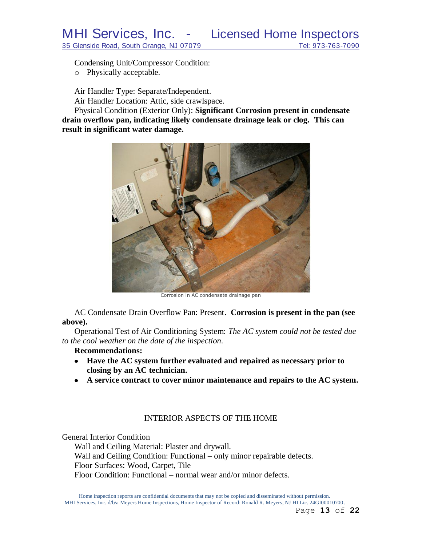Condensing Unit/Compressor Condition:

o Physically acceptable.

Air Handler Type: Separate/Independent.

Air Handler Location: Attic, side crawlspace.

Physical Condition (Exterior Only): **Significant Corrosion present in condensate drain overflow pan, indicating likely condensate drainage leak or clog. This can result in significant water damage.**



Corrosion in AC condensate drainage pan

AC Condensate Drain Overflow Pan: Present. **Corrosion is present in the pan (see above).**

Operational Test of Air Conditioning System: *The AC system could not be tested due to the cool weather on the date of the inspection.*

# **Recommendations:**

- **Have the AC system further evaluated and repaired as necessary prior to closing by an AC technician.**
- **A service contract to cover minor maintenance and repairs to the AC system.**

# INTERIOR ASPECTS OF THE HOME

General Interior Condition

Wall and Ceiling Material: Plaster and drywall. Wall and Ceiling Condition: Functional – only minor repairable defects. Floor Surfaces: Wood, Carpet, Tile Floor Condition: Functional – normal wear and/or minor defects.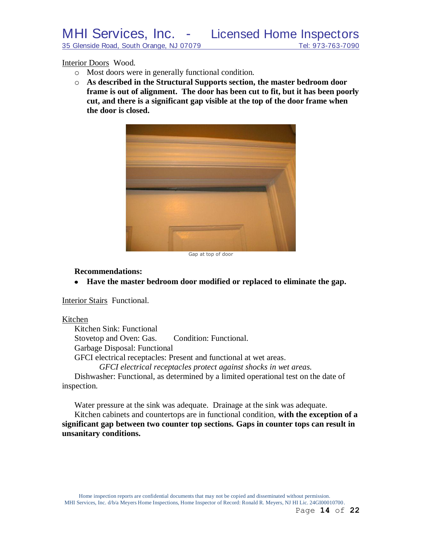#### Interior Doors Wood.

- o Most doors were in generally functional condition.
- o **As described in the Structural Supports section, the master bedroom door frame is out of alignment. The door has been cut to fit, but it has been poorly cut, and there is a significant gap visible at the top of the door frame when the door is closed.**



Gap at top of door

### **Recommendations:**

**Have the master bedroom door modified or replaced to eliminate the gap.**

Interior Stairs Functional.

### Kitchen

Kitchen Sink: Functional Stovetop and Oven: Gas. Condition: Functional. Garbage Disposal: Functional GFCI electrical receptacles: Present and functional at wet areas. *GFCI electrical receptacles protect against shocks in wet areas.*

Dishwasher: Functional, as determined by a limited operational test on the date of inspection.

Water pressure at the sink was adequate. Drainage at the sink was adequate.

Kitchen cabinets and countertops are in functional condition, **with the exception of a significant gap between two counter top sections. Gaps in counter tops can result in unsanitary conditions.**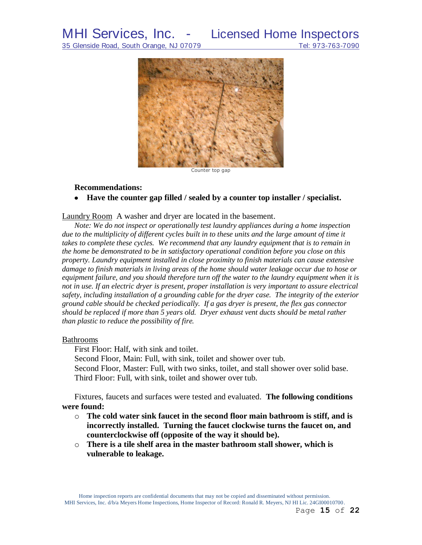# MHI Services, Inc. - Licensed Home Inspectors



Counter top gap

#### **Recommendations:**

#### **Have the counter gap filled / sealed by a counter top installer / specialist.**

Laundry Room A washer and dryer are located in the basement.

*Note: We do not inspect or operationally test laundry appliances during a home inspection*  due to the multiplicity of different cycles built in to these units and the large amount of time it *takes to complete these cycles. We recommend that any laundry equipment that is to remain in the home be demonstrated to be in satisfactory operational condition before you close on this property. Laundry equipment installed in close proximity to finish materials can cause extensive damage to finish materials in living areas of the home should water leakage occur due to hose or equipment failure, and you should therefore turn off the water to the laundry equipment when it is not in use. If an electric dryer is present, proper installation is very important to assure electrical safety, including installation of a grounding cable for the dryer case. The integrity of the exterior ground cable should be checked periodically. If a gas dryer is present, the flex gas connector should be replaced if more than 5 years old. Dryer exhaust vent ducts should be metal rather than plastic to reduce the possibility of fire.*

#### Bathrooms

First Floor: Half, with sink and toilet.

Second Floor, Main: Full, with sink, toilet and shower over tub.

Second Floor, Master: Full, with two sinks, toilet, and stall shower over solid base. Third Floor: Full, with sink, toilet and shower over tub.

Fixtures, faucets and surfaces were tested and evaluated. **The following conditions were found:**

- o **The cold water sink faucet in the second floor main bathroom is stiff, and is incorrectly installed. Turning the faucet clockwise turns the faucet on, and counterclockwise off (opposite of the way it should be).**
- o **There is a tile shelf area in the master bathroom stall shower, which is vulnerable to leakage.**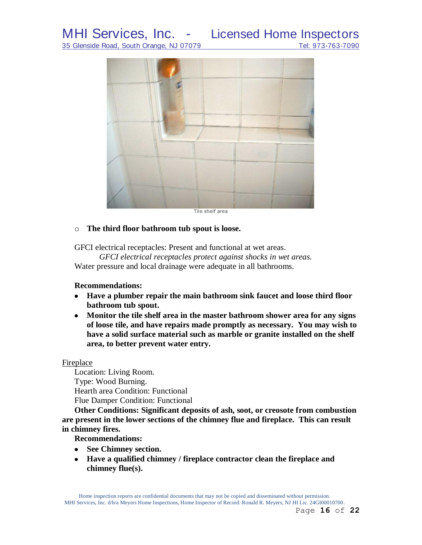# MHI Services, Inc. - Licensed Home Inspectors

35 Glenside Road, South Orange, NJ 07079 Tel: 973-763-7090



# o **The third floor bathroom tub spout is loose.**

GFCI electrical receptacles: Present and functional at wet areas.

*GFCI electrical receptacles protect against shocks in wet areas.*

Water pressure and local drainage were adequate in all bathrooms.

# **Recommendations:**

- **Have a plumber repair the main bathroom sink faucet and loose third floor bathroom tub spout.**
- **Monitor the tile shelf area in the master bathroom shower area for any signs of loose tile, and have repairs made promptly as necessary. You may wish to have a solid surface material such as marble or granite installed on the shelf area, to better prevent water entry.**

# Fireplace

Location: Living Room. Type: Wood Burning. Hearth area Condition: Functional Flue Damper Condition: Functional

**Other Conditions: Significant deposits of ash, soot, or creosote from combustion are present in the lower sections of the chimney flue and fireplace. This can result in chimney fires.**

**Recommendations:**

- **See Chimney section.**
- **Have a qualified chimney / fireplace contractor clean the fireplace and chimney flue(s).**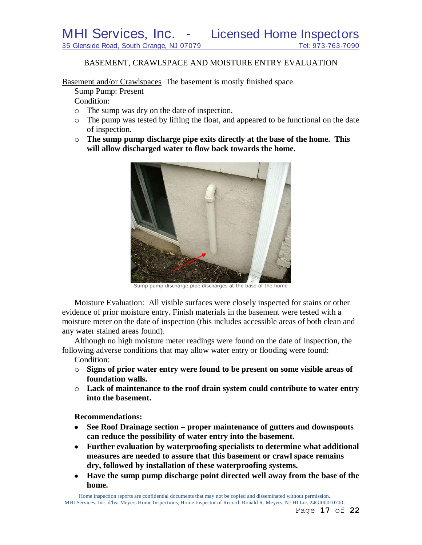## BASEMENT, CRAWLSPACE AND MOISTURE ENTRY EVALUATION

Basement and/or Crawlspaces The basement is mostly finished space.

Sump Pump: Present

Condition:

- o The sump was dry on the date of inspection.
- o The pump was tested by lifting the float, and appeared to be functional on the date of inspection.
- o **The sump pump discharge pipe exits directly at the base of the home. This will allow discharged water to flow back towards the home.**



Sump pump discharge pipe discharges at the base of the home

Moisture Evaluation: All visible surfaces were closely inspected for stains or other evidence of prior moisture entry. Finish materials in the basement were tested with a moisture meter on the date of inspection (this includes accessible areas of both clean and any water stained areas found).

Although no high moisture meter readings were found on the date of inspection, the following adverse conditions that may allow water entry or flooding were found:

Condition:

- o **Signs of prior water entry were found to be present on some visible areas of foundation walls.**
- o **Lack of maintenance to the roof drain system could contribute to water entry into the basement.**

**Recommendations:**

- $\bullet$ **See Roof Drainage section – proper maintenance of gutters and downspouts can reduce the possibility of water entry into the basement.**
- **Further evaluation by waterproofing specialists to determine what additional measures are needed to assure that this basement or crawl space remains dry, followed by installation of these waterproofing systems.**
- **Have the sump pump discharge point directed well away from the base of the home.**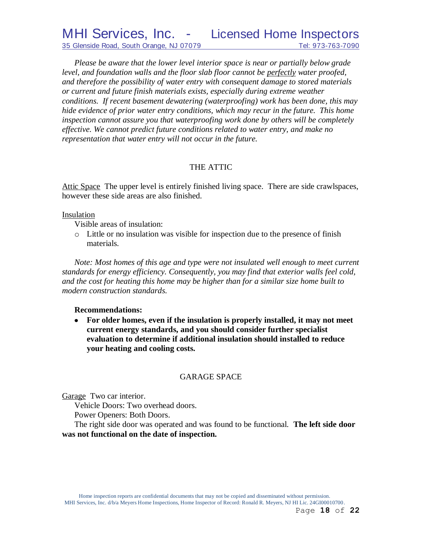*Please be aware that the lower level interior space is near or partially below grade level, and foundation walls and the floor slab floor cannot be perfectly water proofed, and therefore the possibility of water entry with consequent damage to stored materials or current and future finish materials exists, especially during extreme weather conditions. If recent basement dewatering (waterproofing) work has been done, this may hide evidence of prior water entry conditions, which may recur in the future. This home inspection cannot assure you that waterproofing work done by others will be completely effective. We cannot predict future conditions related to water entry, and make no representation that water entry will not occur in the future.*

# THE ATTIC

Attic Space The upper level is entirely finished living space. There are side crawlspaces, however these side areas are also finished.

# Insulation

Visible areas of insulation:

o Little or no insulation was visible for inspection due to the presence of finish materials.

*Note: Most homes of this age and type were not insulated well enough to meet current standards for energy efficiency. Consequently, you may find that exterior walls feel cold, and the cost for heating this home may be higher than for a similar size home built to modern construction standards.*

# **Recommendations:**

**For older homes, even if the insulation is properly installed, it may not meet current energy standards, and you should consider further specialist evaluation to determine if additional insulation should installed to reduce your heating and cooling costs.**

# GARAGE SPACE

Garage Two car interior.

Vehicle Doors: Two overhead doors.

Power Openers: Both Doors.

The right side door was operated and was found to be functional. **The left side door was not functional on the date of inspection.**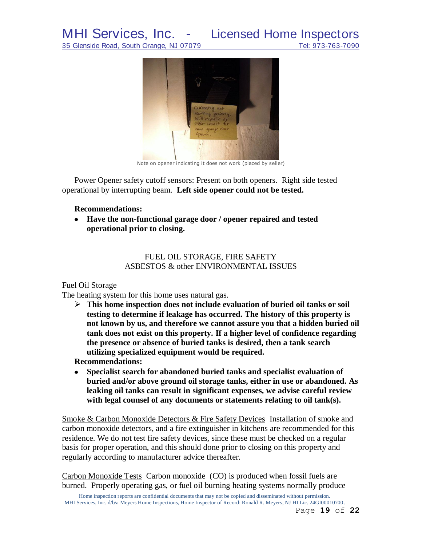

Note on opener indicating it does not work (placed by seller)

Power Opener safety cutoff sensors: Present on both openers. Right side tested operational by interrupting beam. **Left side opener could not be tested.**

#### **Recommendations:**

**Have the non-functional garage door / opener repaired and tested operational prior to closing.**

# FUEL OIL STORAGE, FIRE SAFETY ASBESTOS & other ENVIRONMENTAL ISSUES

### Fuel Oil Storage

The heating system for this home uses natural gas.

 **This home inspection does not include evaluation of buried oil tanks or soil testing to determine if leakage has occurred. The history of this property is not known by us, and therefore we cannot assure you that a hidden buried oil tank does not exist on this property. If a higher level of confidence regarding the presence or absence of buried tanks is desired, then a tank search utilizing specialized equipment would be required.**

**Recommendations:**

**Specialist search for abandoned buried tanks and specialist evaluation of**   $\bullet$ **buried and/or above ground oil storage tanks, either in use or abandoned. As leaking oil tanks can result in significant expenses, we advise careful review with legal counsel of any documents or statements relating to oil tank(s).** 

Smoke & Carbon Monoxide Detectors & Fire Safety Devices Installation of smoke and carbon monoxide detectors, and a fire extinguisher in kitchens are recommended for this residence. We do not test fire safety devices, since these must be checked on a regular basis for proper operation, and this should done prior to closing on this property and regularly according to manufacturer advice thereafter.

Carbon Monoxide Tests Carbon monoxide (CO) is produced when fossil fuels are burned. Properly operating gas, or fuel oil burning heating systems normally produce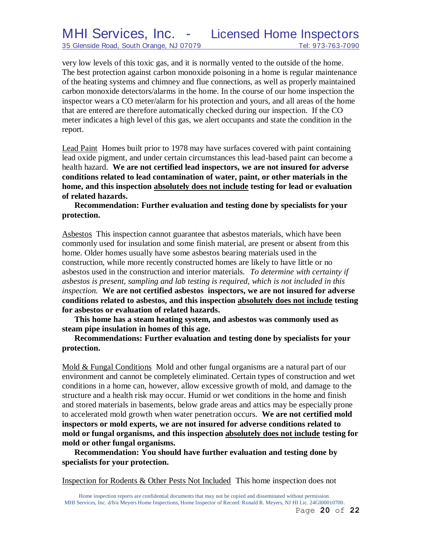very low levels of this toxic gas, and it is normally vented to the outside of the home. The best protection against carbon monoxide poisoning in a home is regular maintenance of the heating systems and chimney and flue connections, as well as properly maintained carbon monoxide detectors/alarms in the home. In the course of our home inspection the inspector wears a CO meter/alarm for his protection and yours, and all areas of the home that are entered are therefore automatically checked during our inspection. If the CO meter indicates a high level of this gas, we alert occupants and state the condition in the report.

Lead Paint Homes built prior to 1978 may have surfaces covered with paint containing lead oxide pigment, and under certain circumstances this lead-based paint can become a health hazard. **We are not certified lead inspectors, we are not insured for adverse conditions related to lead contamination of water, paint, or other materials in the home, and this inspection absolutely does not include testing for lead or evaluation of related hazards.** 

**Recommendation: Further evaluation and testing done by specialists for your protection.**

Asbestos This inspection cannot guarantee that asbestos materials, which have been commonly used for insulation and some finish material, are present or absent from this home. Older homes usually have some asbestos bearing materials used in the construction, while more recently constructed homes are likely to have little or no asbestos used in the construction and interior materials. *To determine with certainty if asbestos is present, sampling and lab testing is required, which is not included in this inspection.* **We are not certified asbestos inspectors, we are not insured for adverse conditions related to asbestos, and this inspection absolutely does not include testing for asbestos or evaluation of related hazards.**

**This home has a steam heating system, and asbestos was commonly used as steam pipe insulation in homes of this age.**

**Recommendations: Further evaluation and testing done by specialists for your protection.**

Mold & Fungal Conditions Mold and other fungal organisms are a natural part of our environment and cannot be completely eliminated. Certain types of construction and wet conditions in a home can, however, allow excessive growth of mold, and damage to the structure and a health risk may occur. Humid or wet conditions in the home and finish and stored materials in basements, below grade areas and attics may be especially prone to accelerated mold growth when water penetration occurs. **We are not certified mold inspectors or mold experts, we are not insured for adverse conditions related to mold or fungal organisms, and this inspection absolutely does not include testing for mold or other fungal organisms.**

**Recommendation: You should have further evaluation and testing done by specialists for your protection.**

Inspection for Rodents & Other Pests Not Included This home inspection does not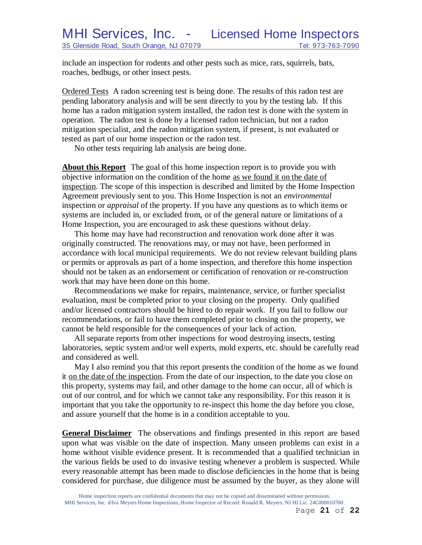include an inspection for rodents and other pests such as mice, rats, squirrels, bats, roaches, bedbugs, or other insect pests.

Ordered Tests A radon screening test is being done. The results of this radon test are pending laboratory analysis and will be sent directly to you by the testing lab. If this home has a radon mitigation system installed, the radon test is done with the system in operation. The radon test is done by a licensed radon technician, but not a radon mitigation specialist, and the radon mitigation system, if present, is not evaluated or tested as part of our home inspection or the radon test.

No other tests requiring lab analysis are being done.

**About this Report** The goal of this home inspection report is to provide you with objective information on the condition of the home as we found it on the date of inspection. The scope of this inspection is described and limited by the Home Inspection Agreement previously sent to you. This Home Inspection is not an *environmental* inspection or *appraisal* of the property. If you have any questions as to which items or systems are included in, or excluded from, or of the general nature or limitations of a Home Inspection, you are encouraged to ask these questions without delay.

This home may have had reconstruction and renovation work done after it was originally constructed. The renovations may, or may not have, been performed in accordance with local municipal requirements. We do not review relevant building plans or permits or approvals as part of a home inspection, and therefore this home inspection should not be taken as an endorsement or certification of renovation or re-construction work that may have been done on this home.

Recommendations we make for repairs, maintenance, service, or further specialist evaluation, must be completed prior to your closing on the property. Only qualified and/or licensed contractors should be hired to do repair work. If you fail to follow our recommendations, or fail to have them completed prior to closing on the property, we cannot be held responsible for the consequences of your lack of action.

All separate reports from other inspections for wood destroying insects, testing laboratories, septic system and/or well experts, mold experts, etc. should be carefully read and considered as well.

May I also remind you that this report presents the condition of the home as we found it on the date of the inspection. From the date of our inspection, to the date you close on this property, systems may fail, and other damage to the home can occur, all of which is out of our control, and for which we cannot take any responsibility. For this reason it is important that you take the opportunity to re-inspect this home the day before you close, and assure yourself that the home is in a condition acceptable to you.

**General Disclaimer** The observations and findings presented in this report are based upon what was visible on the date of inspection. Many unseen problems can exist in a home without visible evidence present. It is recommended that a qualified technician in the various fields be used to do invasive testing whenever a problem is suspected. While every reasonable attempt has been made to disclose deficiencies in the home that is being considered for purchase, due diligence must be assumed by the buyer, as they alone will